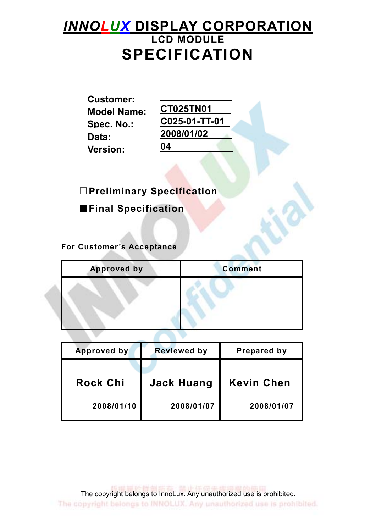# INNOLUX DISPLAY CORPORATION LCD MODULE SPECIFICATION

Customer: **Model Name:** Data: 2008/01/02 Version: 04

Spec. No.: C025-01-TT-01

□Preliminary Specification

■Final Specification

For Customer's Acceptance

| <b>Approved by</b> | <b>Comment</b> |
|--------------------|----------------|
|                    |                |
|                    |                |
|                    |                |

| Approved by     | <b>Reviewed by</b> | Prepared by       |
|-----------------|--------------------|-------------------|
|                 |                    |                   |
| <b>Rock Chi</b> | <b>Jack Huang</b>  | <b>Kevin Chen</b> |
| 2008/01/10      | 2008/01/07         | 2008/01/07        |

■ 山川太 病 22:400 日 100 000 000 円 The copyright belongs to InnoLux. Any unauthorized use is prohibited. The copyright belongs to INNOLUX. Any unauthorized use is prohibited.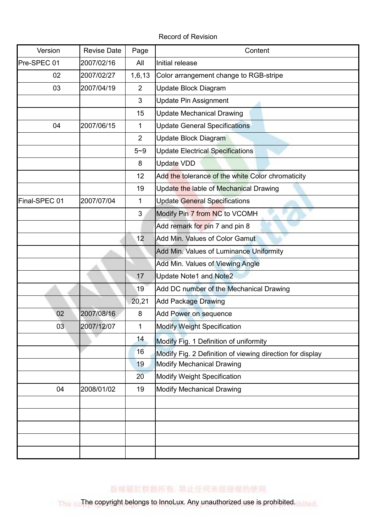Record of Revision

| Version       | <b>Revise Date</b> | Page           | Content                                                   |
|---------------|--------------------|----------------|-----------------------------------------------------------|
| Pre-SPEC 01   | 2007/02/16         | All            | Initial release                                           |
| 02            | 2007/02/27         | 1,6,13         | Color arrangement change to RGB-stripe                    |
| 03            | 2007/04/19         | $\overline{2}$ | Update Block Diagram                                      |
|               |                    | 3              | <b>Update Pin Assignment</b>                              |
|               |                    | 15             | <b>Update Mechanical Drawing</b>                          |
| 04            | 2007/06/15         | $\mathbf{1}$   | <b>Update General Specifications</b>                      |
|               |                    | $\overline{2}$ | Update Block Diagram                                      |
|               |                    | $5 - 9$        | <b>Update Electrical Specifications</b>                   |
|               |                    | 8              | <b>Update VDD</b>                                         |
|               |                    | 12             | Add the tolerance of the white Color chromaticity         |
|               |                    | 19             | Update the lable of Mechanical Drawing                    |
| Final-SPEC 01 | 2007/07/04         | 1              | <b>Update General Specifications</b>                      |
|               |                    | 3              | Modify Pin 7 from NC to VCOMH                             |
|               |                    |                | Add remark for pin 7 and pin 8                            |
|               |                    | 12             | Add Min. Values of Color Gamut                            |
|               |                    |                | Add Min. Values of Luminance Uniformity                   |
|               |                    |                | Add Min. Values of Viewing Angle                          |
|               |                    | 17             | <b>Update Note1 and Note2</b>                             |
|               |                    | 19             | Add DC number of the Mechanical Drawing                   |
|               |                    | 20,21          | <b>Add Package Drawing</b>                                |
| 02            | 2007/08/16         | 8              | Add Power on sequence                                     |
| 03            | 2007/12/07         | $\mathbf 1$    | <b>Modify Weight Specification</b>                        |
|               |                    | 14             | Modify Fig. 1 Definition of uniformity                    |
|               |                    | 16             | Modify Fig. 2 Definition of viewing direction for display |
|               |                    | 19             | <b>Modify Mechanical Drawing</b>                          |
|               |                    | 20             | <b>Modify Weight Specification</b>                        |
| 04            | 2008/01/02         | 19             | <b>Modify Mechanical Drawing</b>                          |
|               |                    |                |                                                           |
|               |                    |                |                                                           |
|               |                    |                |                                                           |
|               |                    |                |                                                           |
|               |                    |                |                                                           |

版權圖於群創所有, 禁止任何未經授權的使用

The copyright belongs to InnoLux. Any unauthorized use is prohibited. In the control of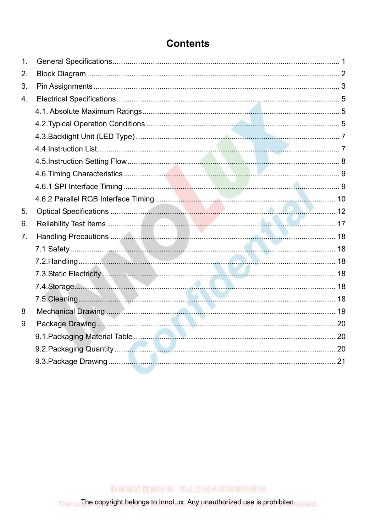| 1.             |  |
|----------------|--|
| 2.             |  |
| 3.             |  |
| 4.             |  |
|                |  |
|                |  |
|                |  |
|                |  |
|                |  |
|                |  |
|                |  |
|                |  |
| 5.             |  |
| 6.             |  |
| 7 <sub>1</sub> |  |
|                |  |
|                |  |
|                |  |
|                |  |
|                |  |
| 8              |  |
| 9              |  |
|                |  |
|                |  |
|                |  |
|                |  |

版權圖於群創所有, 禁止任何未經授權的使用

The copyright belongs to InnoLux. Any unauthorized use is prohibited. Med.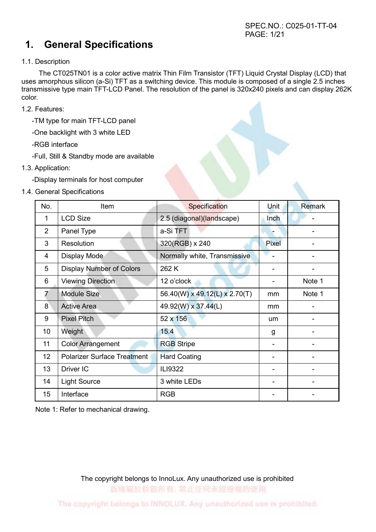## 1. General Specifications

### 1.1. Description

 The CT025TN01 is a color active matrix Thin Film Transistor (TFT) Liquid Crystal Display (LCD) that uses amorphous silicon (a-Si) TFT as a switching device. This module is composed of a single 2.5 inches transmissive type main TFT-LCD Panel. The resolution of the panel is 320x240 pixels and can display 262K color.

- 1.2. Features:
	- -TM type for main TFT-LCD panel
	- -One backlight with 3 white LED
	- -RGB interface
	- -Full, Still & Standby mode are available
- 1.3. Application:
	- -Display terminals for host computer
- 1.4. General Specifications

| No.             | Item                               | Specification                 | Unit  | <b>Remark</b> |
|-----------------|------------------------------------|-------------------------------|-------|---------------|
| 1               | <b>LCD Size</b>                    | 2.5 (diagonal)(landscape)     | Inch  |               |
| 2               | Panel Type                         | a-Si TFT                      |       |               |
| 3               | Resolution                         | 320(RGB) x 240                | Pixel |               |
| 4               | Display Mode                       | Normally white, Transmissive  |       |               |
| 5               | <b>Display Number of Colors</b>    | 262K                          |       |               |
| 6               | <b>Viewing Direction</b>           | 12 o'clock                    | ۰     | Note 1        |
| 7               | <b>Module Size</b>                 | 56.40(W) x 49.12(L) x 2.70(T) | mm    | Note 1        |
| 8               | <b>Active Area</b>                 | 49.92(W) x 37.44(L)           | mm    |               |
| 9               | <b>Pixel Pitch</b>                 | 52 x 156                      | um    |               |
| 10 <sup>°</sup> | Weight                             | 15.4                          | g     |               |
| 11              | <b>Color Arrangement</b>           | <b>RGB</b> Stripe             |       |               |
| 12              | <b>Polarizer Surface Treatment</b> | <b>Hard Coating</b>           |       |               |
| 13              | Driver IC                          | ILI9322                       |       |               |
| 14              | <b>Light Source</b>                | 3 white LEDs                  |       |               |
| 15              | Interface                          | <b>RGB</b>                    |       |               |

Note 1: Refer to mechanical drawing.

The copyright belongs to InnoLux. Any unauthorized use is prohibited 版權圖於群創所有, 禁止任何未經投權的使用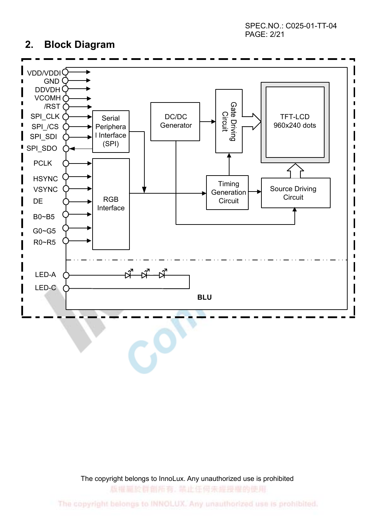SPEC.NO.: C025-01-TT-04 PAGE: 2/21

### 2. Block Diagram



The copyright belongs to InnoLux. Any unauthorized use is prohibited

版權扁於群劇所有, 禁止任何未經授權的使用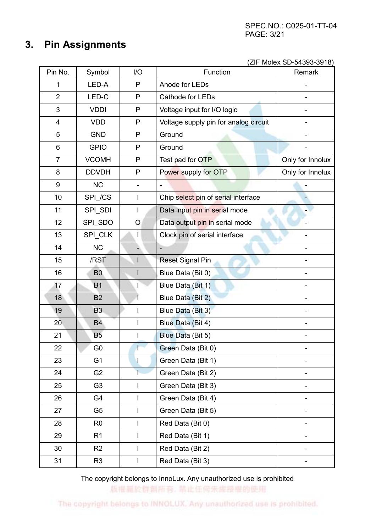## 3. Pin Assignments

(ZIF Molex SD-54393-3918)

| Pin No.                 | Symbol         | I/O                      | Function                              | Remark           |
|-------------------------|----------------|--------------------------|---------------------------------------|------------------|
| 1                       | LED-A          | P                        | Anode for LEDs                        |                  |
| $\overline{2}$          | LED-C          | P                        | Cathode for LEDs                      |                  |
| 3                       | <b>VDDI</b>    | P                        | Voltage input for I/O logic           |                  |
| $\overline{\mathbf{4}}$ | <b>VDD</b>     | P                        | Voltage supply pin for analog circuit |                  |
| 5                       | <b>GND</b>     | P                        | Ground                                |                  |
| 6                       | <b>GPIO</b>    | P                        | Ground                                |                  |
| $\overline{7}$          | <b>VCOMH</b>   | P                        | Test pad for OTP                      | Only for Innolux |
| 8                       | <b>DDVDH</b>   | P                        | Power supply for OTP                  | Only for Innolux |
| $\boldsymbol{9}$        | <b>NC</b>      |                          |                                       |                  |
| 10                      | SPI_/CS        | $\overline{1}$           | Chip select pin of serial interface   |                  |
| 11                      | SPI_SDI        | $\overline{\phantom{a}}$ | Data input pin in serial mode         |                  |
| 12                      | SPI_SDO        | O                        | Data output pin in serial mode        |                  |
| 13                      | SPI_CLK        | I                        | Clock pin of serial interface         |                  |
| 14                      | <b>NC</b>      |                          |                                       |                  |
| 15                      | /RST           |                          | <b>Reset Signal Pin</b>               |                  |
| 16                      | B <sub>0</sub> |                          | Blue Data (Bit 0)                     |                  |
| 17                      | <b>B1</b>      | T                        | Blue Data (Bit 1)                     |                  |
| 18                      | <b>B2</b>      |                          | Blue Data (Bit 2)                     |                  |
| 19                      | B <sub>3</sub> |                          | Blue Data (Bit 3)                     |                  |
| 20                      | <b>B4</b>      | $\mathsf{I}$             | Blue Data (Bit 4)                     |                  |
| 21                      | <b>B5</b>      |                          | Blue Data (Bit 5)                     |                  |
| 22                      | G <sub>0</sub> |                          | Green Data (Bit 0)                    |                  |
| 23                      | G <sub>1</sub> | I                        | Green Data (Bit 1)                    |                  |
| 24                      | G <sub>2</sub> | T                        | Green Data (Bit 2)                    |                  |
| 25                      | G <sub>3</sub> |                          | Green Data (Bit 3)                    |                  |
| 26                      | G4             | T                        | Green Data (Bit 4)                    |                  |
| 27                      | G <sub>5</sub> | $\overline{1}$           | Green Data (Bit 5)                    |                  |
| 28                      | R <sub>0</sub> |                          | Red Data (Bit 0)                      |                  |
| 29                      | R1             | T                        | Red Data (Bit 1)                      |                  |
| 30                      | R <sub>2</sub> | $\mathsf{I}$             | Red Data (Bit 2)                      |                  |
| 31                      | R <sub>3</sub> |                          | Red Data (Bit 3)                      |                  |

The copyright belongs to InnoLux. Any unauthorized use is prohibited

版權圖於群創所有, 禁止任何未經授權的使用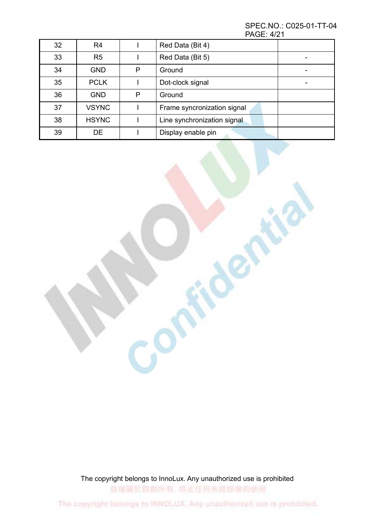SPEC.NO.: C025-01-TT-04 PAGE: 4/21

| 32 | R <sub>4</sub> |   | Red Data (Bit 4)            |  |
|----|----------------|---|-----------------------------|--|
| 33 | R <sub>5</sub> |   | Red Data (Bit 5)            |  |
| 34 | <b>GND</b>     | P | Ground                      |  |
| 35 | <b>PCLK</b>    |   | Dot-clock signal            |  |
| 36 | <b>GND</b>     | P | Ground                      |  |
| 37 | <b>VSYNC</b>   |   | Frame syncronization signal |  |
| 38 | <b>HSYNC</b>   |   | Line synchronization signal |  |
| 39 | DE.            |   | Display enable pin          |  |

The copyright belongs to InnoLux. Any unauthorized use is prohibited 版權圖於群創所有, 禁止任何未經授權的使用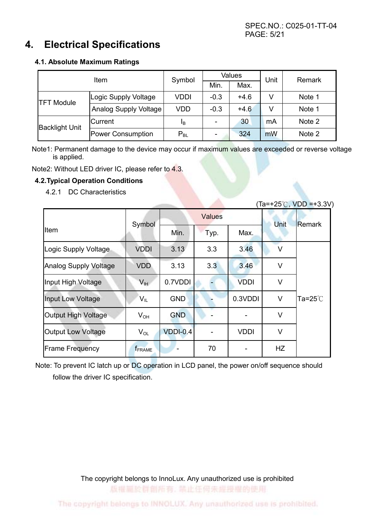### 4. Electrical Specifications

### 4.1. Absolute Maximum Ratings

|                       | Symbol                | <b>Values</b> |                          | Unit   | Remark |        |
|-----------------------|-----------------------|---------------|--------------------------|--------|--------|--------|
|                       |                       | Min.          | Max.                     |        |        |        |
| <b>TFT Module</b>     | Logic Supply Voltage  | <b>VDDI</b>   | $-0.3$                   | $+4.6$ | V      | Note 1 |
|                       | Analog Supply Voltage | <b>VDD</b>    | $-0.3$                   | $+4.6$ | v      | Note 1 |
| <b>Backlight Unit</b> | <b>Current</b>        | IΒ            | $\overline{\phantom{0}}$ | 30     | mA     | Note 2 |
|                       | Power Consumption     | $P_{BL}$      |                          | 324    | mW     | Note 2 |

Note1: Permanent damage to the device may occur if maximum values are exceeded or reverse voltage is applied.

A

Note2: Without LED driver IC, please refer to 4.3.

### 4.2.Typical Operation Conditions

4.2.1 DC Characteristics

|                              |                 |            |               |             |        | $(Ta=+25^{\circ}C, VDD = +3.3V)$ |
|------------------------------|-----------------|------------|---------------|-------------|--------|----------------------------------|
|                              | Symbol          |            | <b>Values</b> | Unit        | Remark |                                  |
| Item                         |                 | Min.       | Typ.          | Max.        |        |                                  |
| Logic Supply Voltage         | <b>VDDI</b>     | 3.13       | 3.3           | 3.46        | V      |                                  |
| <b>Analog Supply Voltage</b> | <b>VDD</b>      | 3.13       | 3.3           | 3.46        | V      |                                  |
| Input High Voltage           | $V_{\text{IH}}$ | 0.7VDDI    |               | <b>VDDI</b> | V      |                                  |
| <b>Input Low Voltage</b>     | V <sub>IL</sub> | <b>GND</b> |               | 0.3VDDI     | V      | Ta= $25^{\circ}$ C               |
| Output High Voltage          | $V_{OH}$        | <b>GND</b> |               |             | V      |                                  |
| <b>Output Low Voltage</b>    | $V_{OL}$        | $VDDI-0.4$ |               | <b>VDDI</b> | V      |                                  |
| <b>Frame Frequency</b>       | <b>f</b> FRAME  |            | 70            |             | HZ     |                                  |

Note: To prevent IC latch up or DC operation in LCD panel, the power on/off sequence should follow the driver IC specification.

> The copyright belongs to InnoLux. Any unauthorized use is prohibited 版權圖於群劇所有, 禁止任何未經授權的使用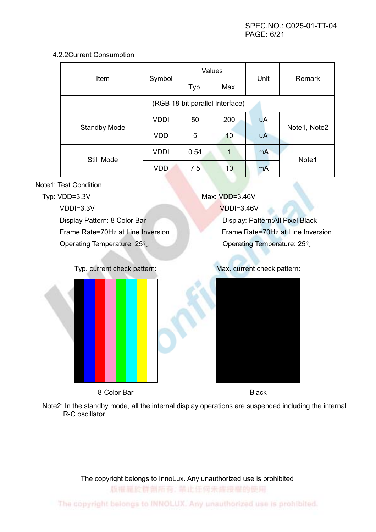a.

### 4.2.2Current Consumption

| Item                            | Symbol      |      | Values       | Unit      | Remark       |  |  |
|---------------------------------|-------------|------|--------------|-----------|--------------|--|--|
|                                 |             | Typ. | Max.         |           |              |  |  |
| (RGB 18-bit parallel Interface) |             |      |              |           |              |  |  |
| <b>Standby Mode</b>             | <b>VDDI</b> | 50   | 200          | <b>uA</b> | Note1, Note2 |  |  |
|                                 | <b>VDD</b>  | 5    | 10           | <b>uA</b> |              |  |  |
| Still Mode                      | <b>VDDI</b> | 0.54 | $\mathbf{1}$ | mA        | Note1        |  |  |
|                                 | <b>VDD</b>  | 7.5  | 10           | mA        |              |  |  |

Note1: Test Condition

| Typ: $VDD=3.3V$                   | Max: VDD=3.46V                    |
|-----------------------------------|-----------------------------------|
| $VDDI=3.3V$                       | $VDDI=3.46V$                      |
| Display Pattern: 8 Color Bar      | Display: Pattern: All Pixel Black |
| Frame Rate=70Hz at Line Inversion | Frame Rate=70Hz at Line Inversion |
| Operating Temperature: 25°C       | Operating Temperature: 25°C       |
|                                   |                                   |
|                                   |                                   |



8-Color Bar Black

Typ. current check pattern: Max. current check pattern:



Note2: In the standby mode, all the internal display operations are suspended including the internal R-C oscillator.

The copyright belongs to InnoLux. Any unauthorized use is prohibited

版權圖於群創所有, 禁止任何未經授權的使用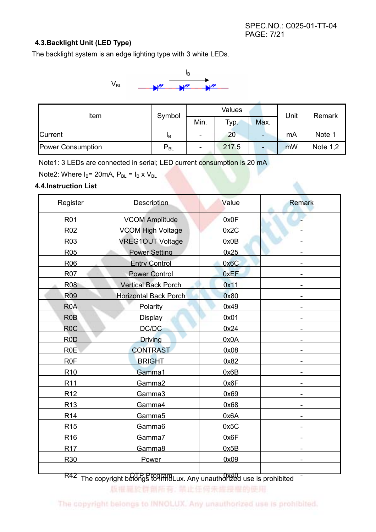### 4.3.Backlight Unit (LED Type)

The backlight system is an edge lighting type with 3 white LEDs.



| Item              | Symbol   | <b>Values</b>            |       |                          | Unit | Remark   |
|-------------------|----------|--------------------------|-------|--------------------------|------|----------|
|                   |          | Min.                     | Typ.  | Max.                     |      |          |
| <b>Current</b>    | Iв       | $\overline{\phantom{0}}$ | 20    | $\overline{\phantom{a}}$ | mA   | Note 1   |
| Power Consumption | $P_{BL}$ | $\overline{\phantom{0}}$ | 217.5 | $\overline{\phantom{0}}$ | mW   | Note 1,2 |

Note1: 3 LEDs are connected in serial; LED current consumption is 20 mA

Note2: Where  $I_B$ = 20mA,  $P_{BL}$  =  $I_B$  x  $V_{BL}$ 

### 4.4.Instruction List

| Register         | Description                  | Value | <b>Remark</b> |
|------------------|------------------------------|-------|---------------|
| <b>R01</b>       | <b>VCOM Amplitude</b>        | 0x0F  |               |
| R <sub>02</sub>  | <b>VCOM High Voltage</b>     | 0x2C  |               |
| R <sub>03</sub>  | <b>VREG1OUT Voltage</b>      | 0x0B  |               |
| <b>R05</b>       | <b>Power Setting</b>         | 0x25  |               |
| <b>R06</b>       | <b>Entry Control</b>         | 0x6C  |               |
| <b>R07</b>       | <b>Power Control</b>         | 0xEF  |               |
| <b>R08</b>       | <b>Vertical Back Porch</b>   | 0x11  |               |
| <b>R09</b>       | <b>Horizontal Back Porch</b> | 0x80  |               |
| R <sub>0</sub> A | Polarity                     | 0x49  |               |
| R <sub>0</sub> B | Display                      | 0x01  |               |
| R <sub>0</sub> C | DC/DC                        | 0x24  |               |
| R <sub>0</sub> D | <b>Driving</b>               | 0x0A  |               |
| R <sub>0</sub> E | <b>CONTRAST</b>              | 0x08  |               |
| R <sub>0</sub> F | <b>BRIGHT</b>                | 0x82  |               |
| R <sub>10</sub>  | Gamma1                       | 0x6B  |               |
| R <sub>11</sub>  | Gamma2                       | 0x6F  |               |
| R <sub>12</sub>  | Gamma3                       | 0x69  |               |
| R <sub>13</sub>  | Gamma4                       | 0x68  |               |
| R <sub>14</sub>  | Gamma5                       | 0x6A  |               |
| R <sub>15</sub>  | Gamma6                       | 0x5C  |               |
| R <sub>16</sub>  | Gamma7                       | 0x6F  |               |
| R <sub>17</sub>  | Gamma8                       | 0x5B  |               |
| R30              | Power                        | 0x09  |               |
|                  |                              |       |               |

R42 The copyright belongs to InnoLux. Any unauthorized use is prohibited <sup>-</sup>

版權扁於群劇所有, 禁止任何未經授權的使用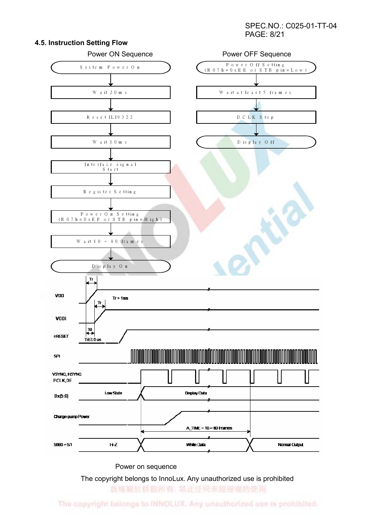#### SPEC.NO.: C025-01-TT-04 PAGE: 8/21



4.5. Instruction Setting Flow

Power on sequence

The copyright belongs to InnoLux. Any unauthorized use is prohibited

版權圖於群創所有, 禁止任何未經授權的使用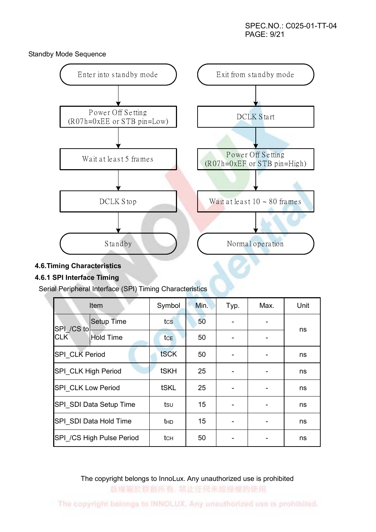Standby Mode Sequence



### 4.6.Timing Characteristics

### 4.6.1 SPI Interface Timing

Serial Peripheral Interface (SPI) Timing Characteristics

|                        | Item                      | Symbol      | Min. | Typ. | Max. | Unit |
|------------------------|---------------------------|-------------|------|------|------|------|
| SPI /CS to             | Setup Time                | tcs         | 50   |      |      | ns   |
| <b>CLK</b>             | <b>Hold Time</b>          | tce         | 50   |      |      |      |
| SPI CLK Period         |                           | tSCK        | 50   |      |      | ns   |
| SPI CLK High Period    |                           | <b>tSKH</b> | 25   |      |      | ns   |
| SPI CLK Low Period     |                           | <b>tSKL</b> | 25   |      |      | ns   |
|                        | SPI SDI Data Setup Time   | tsu         | 15   |      |      | ns   |
| SPI SDI Data Hold Time |                           | thd         | 15   |      |      | ns   |
|                        | SPI /CS High Pulse Period | tсн         | 50   |      |      | ns   |

The copyright belongs to InnoLux. Any unauthorized use is prohibited 版權圖於群劇所有, 禁止任何未經投權的使用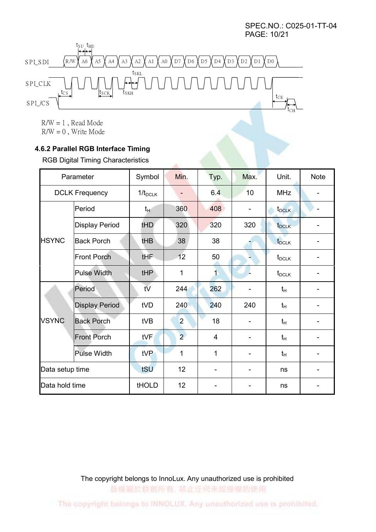SPEC.NO.: C025-01-TT-04 PAGE: 10/21



 $R/W = 1$ , Read Mode  $R/W = 0$ , Write Mode

### 4.6.2 Parallel RGB Interface Timing

RGB Digital Timing Characteristics

|                 | Parameter             | Symbol       | Min.           | Typ.                         | Max. | Unit.             | <b>Note</b> |
|-----------------|-----------------------|--------------|----------------|------------------------------|------|-------------------|-------------|
|                 | <b>DCLK Frequency</b> | $1/t_{DCLK}$ | ۰              | 6.4                          | 10   | <b>MHz</b>        |             |
|                 | Period                | $t_{\rm H}$  | 360            | 408                          |      | $t_{DCLK}$        |             |
|                 | <b>Display Period</b> | tHD          | 320            | 320                          | 320  | t <sub>DCLK</sub> |             |
| <b>HSYNC</b>    | <b>Back Porch</b>     | tHB          | 38             | 38                           |      | t <sub>DCLK</sub> |             |
|                 | <b>Front Porch</b>    | tHF          | 12             | 50                           |      | $t_{\text{DCLK}}$ |             |
|                 | <b>Pulse Width</b>    | tHP          | 1              | $\mathbf{1}$                 |      | $t_{\text{DCLK}}$ |             |
|                 | Period                | tV           | 244            | 262                          |      | $t_{H}$           |             |
|                 | <b>Display Period</b> | tVD          | 240            | 240                          | 240  | $t_H$             |             |
| <b>VSYNC</b>    | <b>Back Porch</b>     | tVB          | $\overline{2}$ | 18                           |      | $t_H$             |             |
|                 | <b>Front Porch</b>    | tVF          | $\overline{2}$ | $\overline{4}$               |      | $t_H$             |             |
|                 | Pulse Width           | tVP          | 1              | 1                            |      | $t_H$             |             |
| Data setup time |                       | tSU          | 12             | $\qquad \qquad \blacksquare$ |      | ns                |             |
| Data hold time  |                       | tHOLD        | 12             |                              |      | ns                |             |

The copyright belongs to InnoLux. Any unauthorized use is prohibited 版權圖於群創所有, 禁止任何未經授權的使用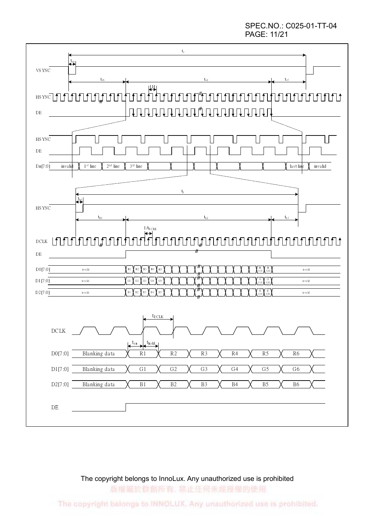SPEC.NO.: C025-01-TT-04 PAGE: 11/21



### The copyright belongs to InnoLux. Any unauthorized use is prohibited

版權圖於群創所有, 禁止任何未經授權的使用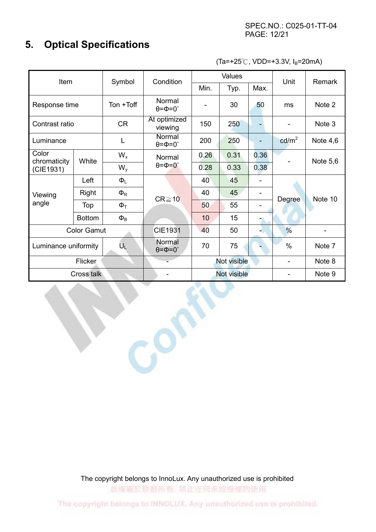### 5. Optical Specifications

 $(Ta=+25^{\circ}$ C, VDD=+3.3V, I<sub>B</sub>=20mA)

| Item                          |                    | Symbol              | Condition                       | Values      |             |                          | Unit                     | Remark     |
|-------------------------------|--------------------|---------------------|---------------------------------|-------------|-------------|--------------------------|--------------------------|------------|
|                               |                    |                     | Min.                            | Typ.        | Max.        |                          |                          |            |
| Response time                 |                    | Ton +Toff           | Normal<br>$\theta = \Phi = 0$ ° |             | 30          | 50                       | ms                       | Note 2     |
| Contrast ratio                |                    | <b>CR</b>           | At optimized<br>viewing         | 150         | 250         |                          |                          | Note 3     |
| Luminance                     |                    | L                   | Normal<br>$\theta = \Phi = 0$ ° | 200         | 250         | $\blacksquare$           | cd/m <sup>2</sup>        | Note $4,6$ |
| Color<br>chromaticity         | White              | $W_{x}$             | Normal                          | 0.26        | 0.31        | 0.36                     |                          | Note $5,6$ |
| (CIE1931)                     |                    | $W_{V}$             | $\theta = \Phi = 0^{\circ}$     | 0.28        | 0.33        | 0.38                     |                          |            |
|                               | Left               | $\Phi_L$            |                                 | 40          | 45          | $\overline{\phantom{a}}$ |                          | Note 10    |
| Viewing                       | Right              | $\Phi_{\mathsf{R}}$ | $CR \ge 10$                     | 40          | 45          | $\overline{\phantom{a}}$ | <b>Degree</b>            |            |
| angle                         | Top                | $\Phi$ <sup>T</sup> |                                 | 50          | 55          |                          |                          |            |
|                               | <b>Bottom</b>      | $\Phi_B$            |                                 | 10          | 15          |                          |                          |            |
|                               | <b>Color Gamut</b> |                     | <b>CIE1931</b>                  | 40          | 50          | ٠.                       | $\frac{0}{6}$            |            |
| $U_L$<br>Luminance uniformity |                    |                     | Normal<br>$\theta = \Phi = 0$ ° | 70          | 75          |                          | $\%$                     | Note 7     |
|                               | Flicker            |                     |                                 | Not visible |             | $\overline{\phantom{a}}$ | Note 8                   |            |
|                               | Cross talk         |                     |                                 |             | Not visible |                          | $\overline{\phantom{a}}$ | Note 9     |
|                               |                    |                     |                                 |             |             |                          |                          |            |

The copyright belongs to InnoLux. Any unauthorized use is prohibited

版權圖於群創所有, 禁止任何未經授權的使用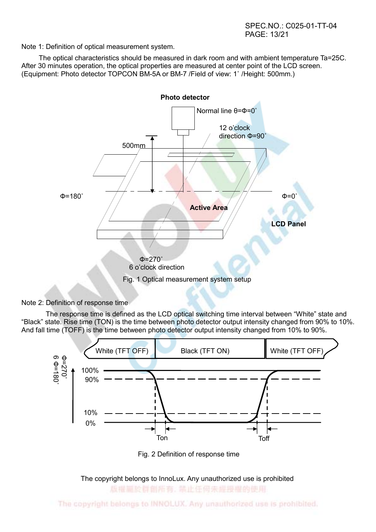SPEC.NO.: C025-01-TT-04 PAGE: 13/21

Note 1: Definition of optical measurement system.

 The optical characteristics should be measured in dark room and with ambient temperature Ta=25C. After 30 minutes operation, the optical properties are measured at center point of the LCD screen. (Equipment: Photo detector TOPCON BM-5A or BM-7 /Field of view: 1˚ /Height: 500mm.)



#### Note 2: Definition of response time

The response time is defined as the LCD optical switching time interval between "White" state and "Black" state. Rise time (TON) is the time between photo detector output intensity changed from 90% to 10%. And fall time (TOFF) is the time between photo detector output intensity changed from 10% to 90%.



Fig. 2 Definition of response time

The copyright belongs to InnoLux. Any unauthorized use is prohibited

版權圖於群劇所有, 禁止任何未經授權的使用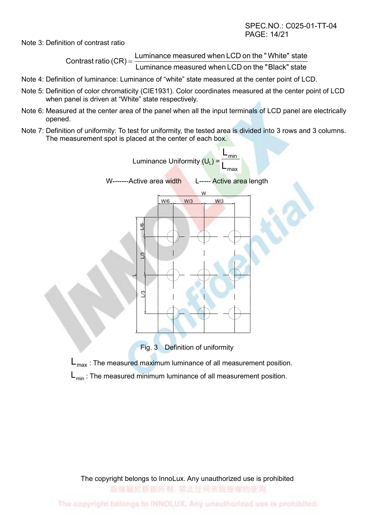SPEC.NO.: C025-01-TT-04 PAGE: 14/21

Note 3: Definition of contrast ratio

Luminance measured when LCD on the " Black" state Contrast ratio  $(CR) = \frac{Luminance$  measured when LCD on the "White" state

- Note 4: Definition of luminance: Luminance of "white" state measured at the center point of LCD.
- Note 5: Definition of color chromaticity (CIE1931). Color coordinates measured at the center point of LCD when panel is driven at "White" state respectively.
- Note 6: Measured at the center area of the panel when all the input terminals of LCD panel are electrically opened.
- Note 7: Definition of uniformity: To test for uniformity, the tested area is divided into 3 rows and 3 columns. The measurement spot is placed at the center of each box.



Fig. 3 Definition of uniformity

 $L_{\text{max}}$  : The measured maximum luminance of all measurement position.

 $L_{min}$ : The measured minimum luminance of all measurement position.

The copyright belongs to InnoLux. Any unauthorized use is prohibited 版權圖於群創所有, 禁止任何未經投權的使用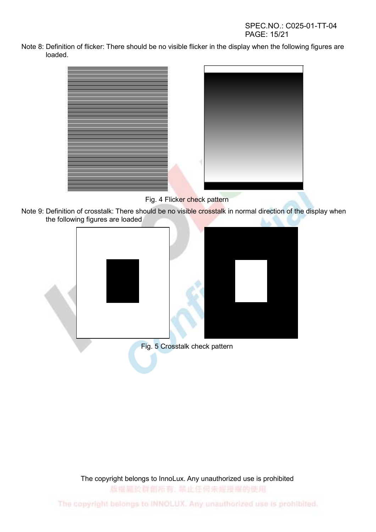SPEC.NO.: C025-01-TT-04 PAGE: 15/21

Note 8: Definition of flicker: There should be no visible flicker in the display when the following figures are loaded.



Fig. 4 Flicker check pattern

Note 9: Definition of crosstalk: There should be no visible crosstalk in normal direction of the display when the following figures are loaded



The copyright belongs to InnoLux. Any unauthorized use is prohibited 版權扁於群劇所有, 禁止任何未經授權的使用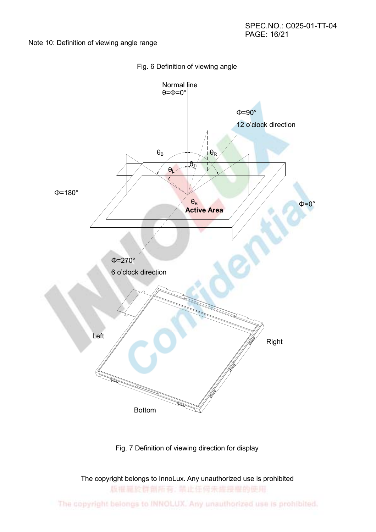Note 10: Definition of viewing angle range





Fig. 7 Definition of viewing direction for display

The copyright belongs to InnoLux. Any unauthorized use is prohibited 版權扁於群劇所有, 禁止任何未經授權的使用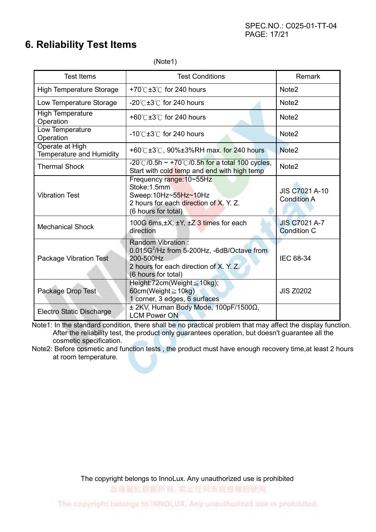### 6. Reliability Test Items

(Note1)

| <b>Test Items</b>                                  | <b>Test Conditions</b>                                                                                                                                |                                             |
|----------------------------------------------------|-------------------------------------------------------------------------------------------------------------------------------------------------------|---------------------------------------------|
| <b>High Temperature Storage</b>                    | +70 $\degree$ C ±3 $\degree$ C for 240 hours                                                                                                          | Note <sub>2</sub>                           |
| Low Temperature Storage                            | $-20^{\circ}$ C $\pm 3^{\circ}$ C for 240 hours                                                                                                       | Note <sub>2</sub>                           |
| <b>High Temperature</b><br>Operation               | +60 $\degree$ C ±3 $\degree$ C for 240 hours                                                                                                          | Note <sub>2</sub>                           |
| Low Temperature<br>Operation                       | $-10^{\circ}$ C $\pm 3^{\circ}$ C for 240 hours                                                                                                       | Note <sub>2</sub>                           |
| Operate at High<br><b>Temperature and Humidity</b> | +60°C $\pm$ 3°C, 90% $\pm$ 3%RH max. for 240 hours                                                                                                    | Note <sub>2</sub>                           |
| <b>Thermal Shock</b>                               | $-20^{\circ}$ (/0.5h ~ +70 $^{\circ}$ (/0.5h for a total 100 cycles,<br>Start with cold temp and end with high temp                                   | Note <sub>2</sub>                           |
| <b>Vibration Test</b>                              | Frequency range: 10~55Hz<br>Stoke:1.5mm<br>Sweep:10Hz~55Hz~10Hz<br>2 hours for each direction of X, Y, Z.<br>(6 hours for total)                      | <b>JIS C7021 A-10</b><br><b>Condition A</b> |
| <b>Mechanical Shock</b>                            | 100G 6ms, ±X, ±Y, ±Z 3 times for each<br>direction                                                                                                    | <b>JIS C7021 A-7</b><br><b>Condition C</b>  |
| Package Vibration Test                             | <b>Random Vibration:</b><br>$0.015G2/Hz$ from 5-200Hz, -6dB/Octave from<br>200-500Hz<br>2 hours for each direction of X. Y. Z.<br>(6 hours for total) | <b>IEC 68-34</b>                            |
| Package Drop Test                                  | Height:72cm(Weight ≤ 10kg);<br>60cm(Weight ≥ 10kg)<br>1 corner, 3 edges, 6 surfaces                                                                   | <b>JIS Z0202</b>                            |
| Electro Static Discharge                           | ± 2KV, Human Body Mode, 100pF/1500Ω,<br><b>LCM Power ON</b>                                                                                           |                                             |

Note1: In the standard condition, there shall be no practical problem that may affect the display function. After the reliability test, the product only guarantees operation, but doesn't guarantee all the cosmetic specification.

Note2: Before cosmetic and function tests , the product must have enough recovery time,at least 2 hours at room temperature.

The copyright belongs to InnoLux. Any unauthorized use is prohibited

版權圖於群劇所有, 禁止任何未經投權的使用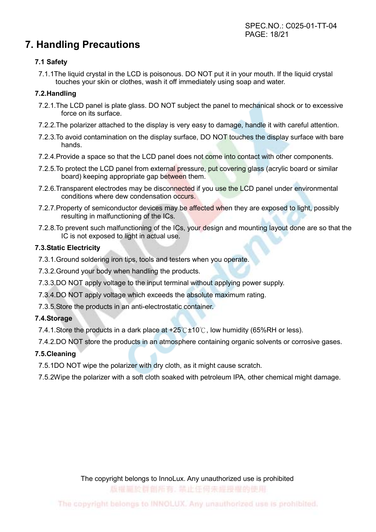## 7. Handling Precautions

### 7.1 Safety

7.1.1The liquid crystal in the LCD is poisonous. DO NOT put it in your mouth. If the liquid crystal touches your skin or clothes, wash it off immediately using soap and water.

### 7.2.Handling

- 7.2.1.The LCD panel is plate glass. DO NOT subject the panel to mechanical shock or to excessive force on its surface.
- 7.2.2.The polarizer attached to the display is very easy to damage, handle it with careful attention.
- 7.2.3.To avoid contamination on the display surface, DO NOT touches the display surface with bare hands.
- 7.2.4. Provide a space so that the LCD panel does not come into contact with other components.
- 7.2.5. To protect the LCD panel from external pressure, put covering glass (acrylic board or similar board) keeping appropriate gap between them.
- 7.2.6. Transparent electrodes may be disconnected if you use the LCD panel under environmental conditions where dew condensation occurs.
- 7.2.7.Property of semiconductor devices may be affected when they are exposed to light, possibly resulting in malfunctioning of the ICs.
- 7.2.8.To prevent such malfunctioning of the ICs, your design and mounting layout done are so that the IC is not exposed to light in actual use.

### 7.3.Static Electricity

- 7.3.1.Ground soldering iron tips, tools and testers when you operate.
- 7.3.2.Ground your body when handling the products.
- 7.3.3.DO NOT apply voltage to the input terminal without applying power supply.
- 7.3.4.DO NOT apply voltage which exceeds the absolute maximum rating.
- 7.3.5.Store the products in an anti-electrostatic container.

### 7.4.Storage

7.4.1. Store the products in a dark place at  $+25^{\circ}$   $\text{C}$  +10<sup>°</sup> $\text{C}$ , low humidity (65%RH or less).

7.4.2.DO NOT store the products in an atmosphere containing organic solvents or corrosive gases.

### 7.5.Cleaning

- 7.5.1DO NOT wipe the polarizer with dry cloth, as it might cause scratch.
- 7.5.2Wipe the polarizer with a soft cloth soaked with petroleum IPA, other chemical might damage.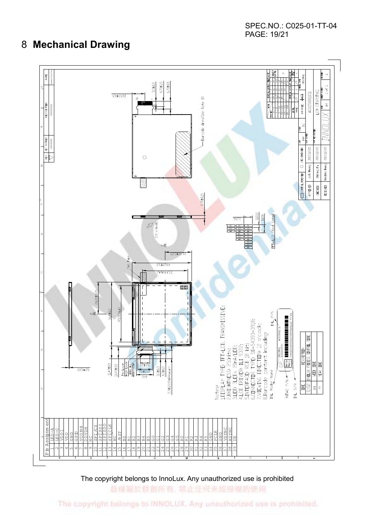SPEC.NO.: C025-01-TT-04 PAGE: 19/21

### 8 Mechanical Drawing



The copyright belongs to InnoLux. Any unauthorized use is prohibited

版權圖於群創所有, 禁止任何未經授權的使用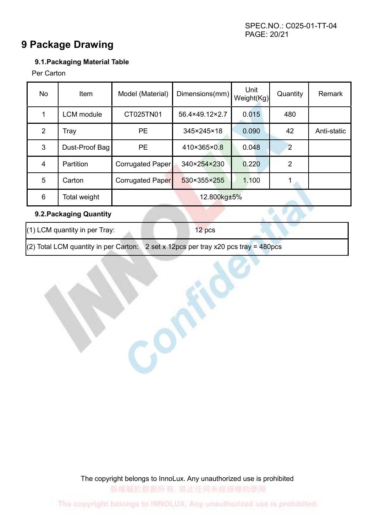### 9 Package Drawing

### 9.1.Packaging Material Table

Per Carton

| No | <b>Item</b>       | Model (Material) | Dimensions(mm) | Unit<br>Weight(Kg) | Quantity       | Remark      |
|----|-------------------|------------------|----------------|--------------------|----------------|-------------|
|    | <b>LCM</b> module | CT025TN01        | 56.4×49.12×2.7 | 0.015              | 480            |             |
| 2  | Tray              | <b>PE</b>        | 345×245×18     | 0.090              | 42             | Anti-static |
| 3  | Dust-Proof Bag    | <b>PE</b>        | 410×365×0.8    | 0.048              | 2              |             |
| 4  | Partition         | Corrugated Paper | 340×254×230    | 0.220              | $\overline{2}$ |             |
| 5  | Carton            | Corrugated Paper | 530×355×255    | 1.100              |                |             |
| 6  | Total weight      | 12.800kg±5%      |                |                    |                |             |

### 9.2.Packaging Quantity

(1) LCM quantity in per Tray: 12 pcs

(2) Total LCM quantity in per Carton: 2 set x 12pcs per tray x20 pcs tray =  $480$ pcs

The copyright belongs to InnoLux. Any unauthorized use is prohibited 版權圖於群創所有, 禁止任何未經授權的使用